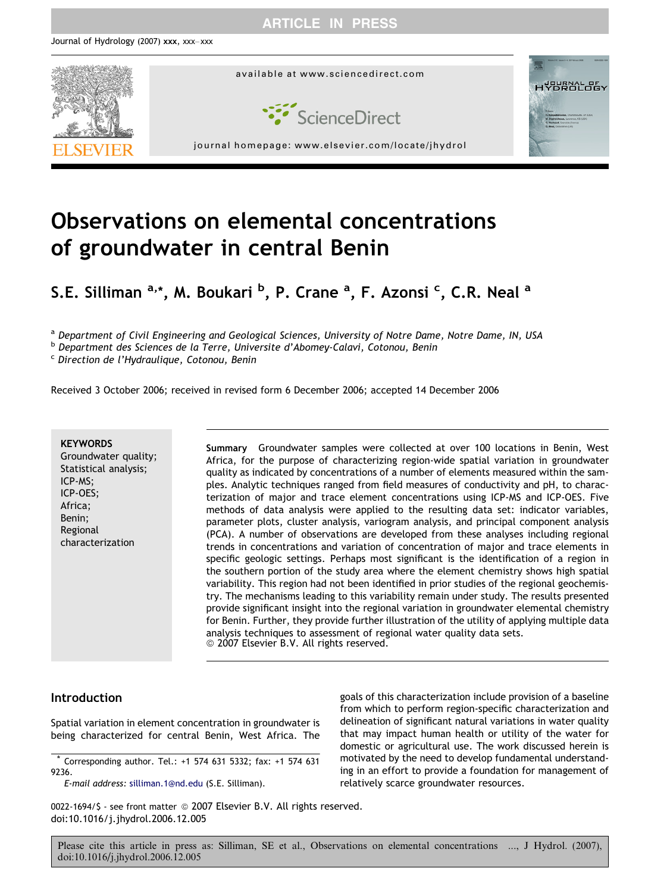# ARTICLE IN PRESS



# Observations on elemental concentrations of groundwater in central Benin

S.E. Silliman <sup>a,</sup>\*, M. Boukari <sup>b</sup>, P. Crane <sup>a</sup>, F. Azonsi <sup>c</sup>, C.R. Neal <sup>a</sup>

a Department of Civil Engineering and Geological Sciences, University of Notre Dame, Notre Dame, IN, USA

<sup>b</sup> Department des Sciences de la Terre, Universite d'Abomey-Calavi, Cotonou, Benin

<sup>c</sup> Direction de l'Hydraulique, Cotonou, Benin

Received 3 October 2006; received in revised form 6 December 2006; accepted 14 December 2006

#### **KEYWORDS**

Groundwater quality; Statistical analysis; ICP-MS; ICP-OES; Africa; Benin; Regional characterization

Summary Groundwater samples were collected at over 100 locations in Benin, West Africa, for the purpose of characterizing region-wide spatial variation in groundwater quality as indicated by concentrations of a number of elements measured within the samples. Analytic techniques ranged from field measures of conductivity and pH, to characterization of major and trace element concentrations using ICP-MS and ICP-OES. Five methods of data analysis were applied to the resulting data set: indicator variables, parameter plots, cluster analysis, variogram analysis, and principal component analysis (PCA). A number of observations are developed from these analyses including regional trends in concentrations and variation of concentration of major and trace elements in specific geologic settings. Perhaps most significant is the identification of a region in the southern portion of the study area where the element chemistry shows high spatial variability. This region had not been identified in prior studies of the regional geochemistry. The mechanisms leading to this variability remain under study. The results presented provide significant insight into the regional variation in groundwater elemental chemistry for Benin. Further, they provide further illustration of the utility of applying multiple data analysis techniques to assessment of regional water quality data sets. © 2007 Elsevier B.V. All rights reserved.

# Introduction

Spatial variation in element concentration in groundwater is being characterized for central Benin, West Africa. The

\* Corresponding author. Tel.: +1 574 631 5332; fax: +1 574 631 9236.

E-mail address: [silliman.1@nd.edu](mailto:silliman.1@nd.edu) (S.E. Silliman).

goals of this characterization include provision of a baseline from which to perform region-specific characterization and delineation of significant natural variations in water quality that may impact human health or utility of the water for domestic or agricultural use. The work discussed herein is motivated by the need to develop fundamental understanding in an effort to provide a foundation for management of relatively scarce groundwater resources.

0022-1694/\$ - see front matter @ 2007 Elsevier B.V. All rights reserved. doi:10.1016/j.jhydrol.2006.12.005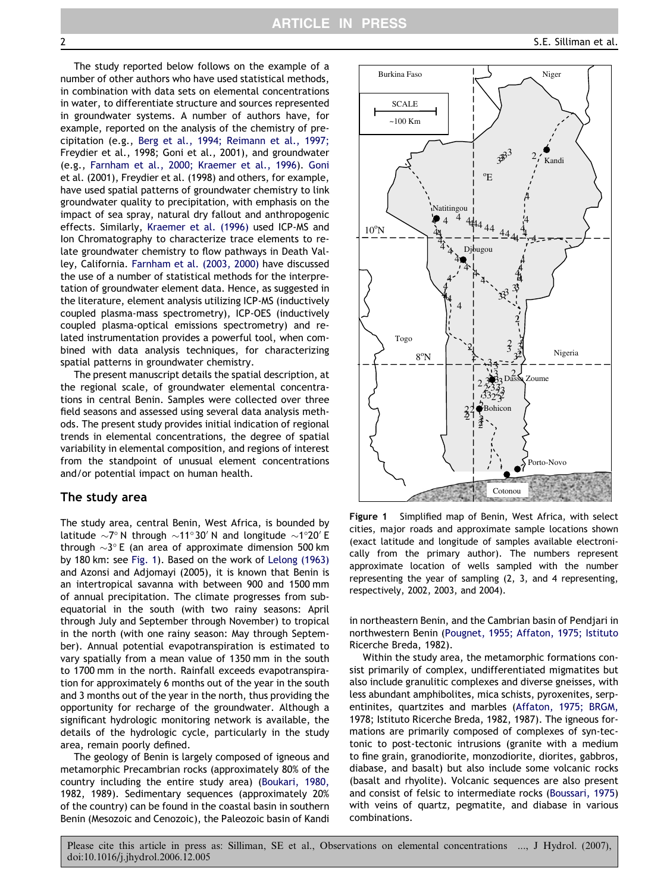<span id="page-1-0"></span>

The study reported below follows on the example of a number of other authors who have used statistical methods, in combination with data sets on elemental concentrations in water, to differentiate structure and sources represented in groundwater systems. A number of authors have, for example, reported on the analysis of the chemistry of precipitation (e.g., [Berg et al., 1994; Reimann et al., 1997;](#page-13-0) [Freydier et al., 1998; Goni et al., 2001](#page-13-0)), and groundwater (e.g., [Farnham et al., 2000; Kraemer et al., 1996\)](#page-13-0). [Goni](#page-13-0) [et al. \(2001\), Freydier et al. \(1998\)](#page-13-0) and others, for example, have used spatial patterns of groundwater chemistry to link groundwater quality to precipitation, with emphasis on the impact of sea spray, natural dry fallout and anthropogenic effects. Similarly, [Kraemer et al. \(1996\)](#page-13-0) used ICP-MS and Ion Chromatography to characterize trace elements to relate groundwater chemistry to flow pathways in Death Valley, California. [Farnham et al. \(2003, 2000\)](#page-13-0) have discussed the use of a number of statistical methods for the interpretation of groundwater element data. Hence, as suggested in the literature, element analysis utilizing ICP-MS (inductively coupled plasma-mass spectrometry), ICP-OES (inductively coupled plasma-optical emissions spectrometry) and related instrumentation provides a powerful tool, when combined with data analysis techniques, for characterizing spatial patterns in groundwater chemistry.

The present manuscript details the spatial description, at the regional scale, of groundwater elemental concentrations in central Benin. Samples were collected over three field seasons and assessed using several data analysis methods. The present study provides initial indication of regional trends in elemental concentrations, the degree of spatial variability in elemental composition, and regions of interest from the standpoint of unusual element concentrations and/or potential impact on human health.

# The study area

The study area, central Benin, West Africa, is bounded by latitude  $\sim$ 7° N through  $\sim$ 11°30′ N and longitude  $\sim$ 1°20′ E through  ${\sim}3^{\circ}$  E (an area of approximate dimension 500 km by 180 km: see Fig. 1). Based on the work of [Lelong \(1963\)](#page-14-0) [and Azonsi and Adjomayi \(2005\)](#page-14-0), it is known that Benin is an intertropical savanna with between 900 and 1500 mm of annual precipitation. The climate progresses from subequatorial in the south (with two rainy seasons: April through July and September through November) to tropical in the north (with one rainy season: May through September). Annual potential evapotranspiration is estimated to vary spatially from a mean value of 1350 mm in the south to 1700 mm in the north. Rainfall exceeds evapotranspiration for approximately 6 months out of the year in the south and 3 months out of the year in the north, thus providing the opportunity for recharge of the groundwater. Although a significant hydrologic monitoring network is available, the details of the hydrologic cycle, particularly in the study area, remain poorly defined.

The geology of Benin is largely composed of igneous and metamorphic Precambrian rocks (approximately 80% of the country including the entire study area) ([Boukari, 1980,](#page-13-0) [1982, 1989\)](#page-13-0). Sedimentary sequences (approximately 20% of the country) can be found in the coastal basin in southern Benin (Mesozoic and Cenozoic), the Paleozoic basin of Kandi



Figure 1 Simplified map of Benin, West Africa, with select cities, major roads and approximate sample locations shown (exact latitude and longitude of samples available electronically from the primary author). The numbers represent approximate location of wells sampled with the number representing the year of sampling (2, 3, and 4 representing, respectively, 2002, 2003, and 2004).

in northeastern Benin, and the Cambrian basin of Pendjari in northwestern Benin ([Pougnet, 1955; Affaton, 1975; Istituto](#page-14-0) [Ricerche Breda, 1982](#page-14-0)).

Within the study area, the metamorphic formations consist primarily of complex, undifferentiated migmatites but also include granulitic complexes and diverse gneisses, with less abundant amphibolites, mica schists, pyroxenites, serpentinites, quartzites and marbles ([Affaton, 1975; BRGM,](#page-13-0) [1978; Istituto Ricerche Breda, 1982, 1987\)](#page-13-0). The igneous formations are primarily composed of complexes of syn-tectonic to post-tectonic intrusions (granite with a medium to fine grain, granodiorite, monzodiorite, diorites, gabbros, diabase, and basalt) but also include some volcanic rocks (basalt and rhyolite). Volcanic sequences are also present and consist of felsic to intermediate rocks ([Boussari, 1975\)](#page-13-0) with veins of quartz, pegmatite, and diabase in various combinations.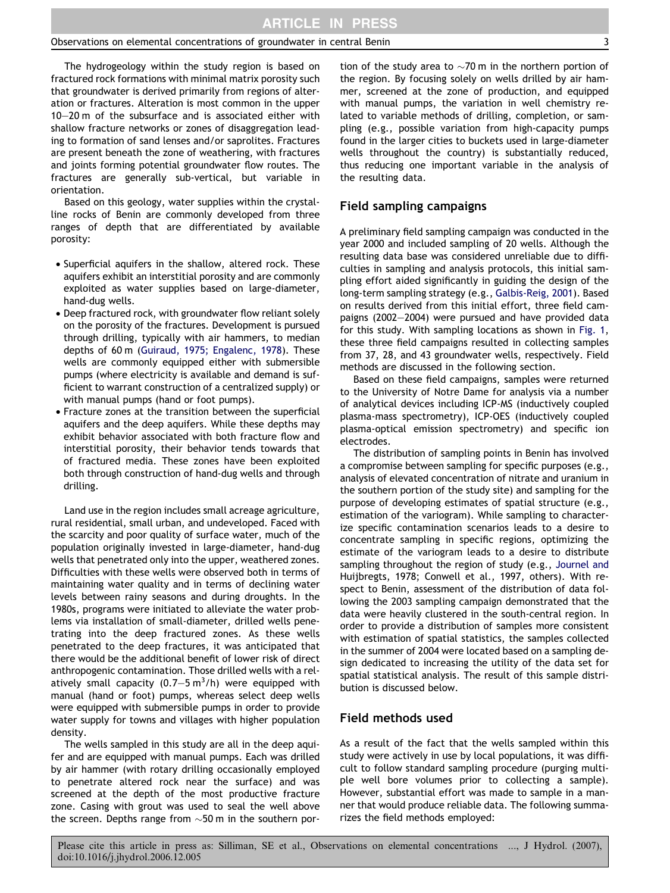The hydrogeology within the study region is based on fractured rock formations with minimal matrix porosity such that groundwater is derived primarily from regions of alteration or fractures. Alteration is most common in the upper 10–20 m of the subsurface and is associated either with shallow fracture networks or zones of disaggregation leading to formation of sand lenses and/or saprolites. Fractures are present beneath the zone of weathering, with fractures and joints forming potential groundwater flow routes. The fractures are generally sub-vertical, but variable in orientation.

Based on this geology, water supplies within the crystalline rocks of Benin are commonly developed from three ranges of depth that are differentiated by available porosity:

- Superficial aquifers in the shallow, altered rock. These aquifers exhibit an interstitial porosity and are commonly exploited as water supplies based on large-diameter, hand-dug wells.
- Deep fractured rock, with groundwater flow reliant solely on the porosity of the fractures. Development is pursued through drilling, typically with air hammers, to median depths of 60 m [\(Guiraud, 1975; Engalenc, 1978\)](#page-13-0). These wells are commonly equipped either with submersible pumps (where electricity is available and demand is sufficient to warrant construction of a centralized supply) or with manual pumps (hand or foot pumps).
- Fracture zones at the transition between the superficial aquifers and the deep aquifers. While these depths may exhibit behavior associated with both fracture flow and interstitial porosity, their behavior tends towards that of fractured media. These zones have been exploited both through construction of hand-dug wells and through drilling.

Land use in the region includes small acreage agriculture, rural residential, small urban, and undeveloped. Faced with the scarcity and poor quality of surface water, much of the population originally invested in large-diameter, hand-dug wells that penetrated only into the upper, weathered zones. Difficulties with these wells were observed both in terms of maintaining water quality and in terms of declining water levels between rainy seasons and during droughts. In the 1980s, programs were initiated to alleviate the water problems via installation of small-diameter, drilled wells penetrating into the deep fractured zones. As these wells penetrated to the deep fractures, it was anticipated that there would be the additional benefit of lower risk of direct anthropogenic contamination. Those drilled wells with a relatively small capacity  $(0.7-5 \text{ m}^3/\text{h})$  were equipped with manual (hand or foot) pumps, whereas select deep wells were equipped with submersible pumps in order to provide water supply for towns and villages with higher population density.

The wells sampled in this study are all in the deep aquifer and are equipped with manual pumps. Each was drilled by air hammer (with rotary drilling occasionally employed to penetrate altered rock near the surface) and was screened at the depth of the most productive fracture zone. Casing with grout was used to seal the well above the screen. Depths range from  $\sim$ 50 m in the southern por-

tion of the study area to  $\sim$ 70 m in the northern portion of the region. By focusing solely on wells drilled by air hammer, screened at the zone of production, and equipped with manual pumps, the variation in well chemistry related to variable methods of drilling, completion, or sampling (e.g., possible variation from high-capacity pumps found in the larger cities to buckets used in large-diameter wells throughout the country) is substantially reduced, thus reducing one important variable in the analysis of the resulting data.

#### Field sampling campaigns

A preliminary field sampling campaign was conducted in the year 2000 and included sampling of 20 wells. Although the resulting data base was considered unreliable due to difficulties in sampling and analysis protocols, this initial sampling effort aided significantly in guiding the design of the long-term sampling strategy (e.g., [Galbis-Reig, 2001\)](#page-13-0). Based on results derived from this initial effort, three field campaigns (2002–2004) were pursued and have provided data for this study. With sampling locations as shown in [Fig. 1](#page-1-0), these three field campaigns resulted in collecting samples from 37, 28, and 43 groundwater wells, respectively. Field methods are discussed in the following section.

Based on these field campaigns, samples were returned to the University of Notre Dame for analysis via a number of analytical devices including ICP-MS (inductively coupled plasma-mass spectrometry), ICP-OES (inductively coupled plasma-optical emission spectrometry) and specific ion electrodes.

The distribution of sampling points in Benin has involved a compromise between sampling for specific purposes (e.g., analysis of elevated concentration of nitrate and uranium in the southern portion of the study site) and sampling for the purpose of developing estimates of spatial structure (e.g., estimation of the variogram). While sampling to characterize specific contamination scenarios leads to a desire to concentrate sampling in specific regions, optimizing the estimate of the variogram leads to a desire to distribute sampling throughout the region of study (e.g., [Journel and](#page-13-0) [Huijbregts, 1978; Conwell et al., 1997](#page-13-0), others). With respect to Benin, assessment of the distribution of data following the 2003 sampling campaign demonstrated that the data were heavily clustered in the south-central region. In order to provide a distribution of samples more consistent with estimation of spatial statistics, the samples collected in the summer of 2004 were located based on a sampling design dedicated to increasing the utility of the data set for spatial statistical analysis. The result of this sample distribution is discussed below.

# Field methods used

As a result of the fact that the wells sampled within this study were actively in use by local populations, it was difficult to follow standard sampling procedure (purging multiple well bore volumes prior to collecting a sample). However, substantial effort was made to sample in a manner that would produce reliable data. The following summarizes the field methods employed: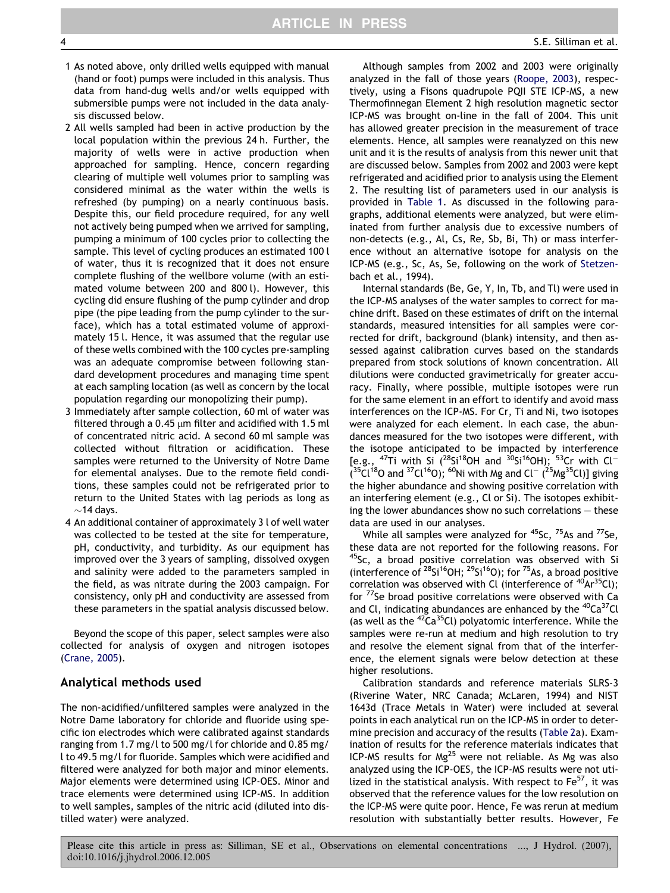S.E. Silliman et al.

- 1 As noted above, only drilled wells equipped with manual (hand or foot) pumps were included in this analysis. Thus data from hand-dug wells and/or wells equipped with submersible pumps were not included in the data analysis discussed below.
- 2 All wells sampled had been in active production by the local population within the previous 24 h. Further, the majority of wells were in active production when approached for sampling. Hence, concern regarding clearing of multiple well volumes prior to sampling was considered minimal as the water within the wells is refreshed (by pumping) on a nearly continuous basis. Despite this, our field procedure required, for any well not actively being pumped when we arrived for sampling, pumping a minimum of 100 cycles prior to collecting the sample. This level of cycling produces an estimated 100 l of water, thus it is recognized that it does not ensure complete flushing of the wellbore volume (with an estimated volume between 200 and 800 l). However, this cycling did ensure flushing of the pump cylinder and drop pipe (the pipe leading from the pump cylinder to the surface), which has a total estimated volume of approximately 15 l. Hence, it was assumed that the regular use of these wells combined with the 100 cycles pre-sampling was an adequate compromise between following standard development procedures and managing time spent at each sampling location (as well as concern by the local population regarding our monopolizing their pump).
- 3 Immediately after sample collection, 60 ml of water was filtered through a 0.45  $\mu$ m filter and acidified with 1.5 ml of concentrated nitric acid. A second 60 ml sample was collected without filtration or acidification. These samples were returned to the University of Notre Dame for elemental analyses. Due to the remote field conditions, these samples could not be refrigerated prior to return to the United States with lag periods as long as  $\sim$ 14 days.
- 4 An additional container of approximately 3 l of well water was collected to be tested at the site for temperature, pH, conductivity, and turbidity. As our equipment has improved over the 3 years of sampling, dissolved oxygen and salinity were added to the parameters sampled in the field, as was nitrate during the 2003 campaign. For consistency, only pH and conductivity are assessed from these parameters in the spatial analysis discussed below.

Beyond the scope of this paper, select samples were also collected for analysis of oxygen and nitrogen isotopes [\(Crane, 2005](#page-13-0)).

# Analytical methods used

The non-acidified/unfiltered samples were analyzed in the Notre Dame laboratory for chloride and fluoride using specific ion electrodes which were calibrated against standards ranging from 1.7 mg/l to 500 mg/l for chloride and 0.85 mg/ l to 49.5 mg/l for fluoride. Samples which were acidified and filtered were analyzed for both major and minor elements. Major elements were determined using ICP-OES. Minor and trace elements were determined using ICP-MS. In addition to well samples, samples of the nitric acid (diluted into distilled water) were analyzed.

Although samples from 2002 and 2003 were originally analyzed in the fall of those years ([Roope, 2003](#page-14-0)), respectively, using a Fisons quadrupole PQII STE ICP-MS, a new Thermofinnegan Element 2 high resolution magnetic sector ICP-MS was brought on-line in the fall of 2004. This unit has allowed greater precision in the measurement of trace elements. Hence, all samples were reanalyzed on this new unit and it is the results of analysis from this newer unit that are discussed below. Samples from 2002 and 2003 were kept refrigerated and acidified prior to analysis using the Element 2. The resulting list of parameters used in our analysis is provided in [Table 1.](#page-4-0) As discussed in the following paragraphs, additional elements were analyzed, but were eliminated from further analysis due to excessive numbers of non-detects (e.g., Al, Cs, Re, Sb, Bi, Th) or mass interference without an alternative isotope for analysis on the ICP-MS (e.g., Sc, As, Se, following on the work of [Stetzen](#page-14-0)[bach et al., 1994\)](#page-14-0).

Internal standards (Be, Ge, Y, In, Tb, and Tl) were used in the ICP-MS analyses of the water samples to correct for machine drift. Based on these estimates of drift on the internal standards, measured intensities for all samples were corrected for drift, background (blank) intensity, and then assessed against calibration curves based on the standards prepared from stock solutions of known concentration. All dilutions were conducted gravimetrically for greater accuracy. Finally, where possible, multiple isotopes were run for the same element in an effort to identify and avoid mass interferences on the ICP-MS. For Cr, Ti and Ni, two isotopes were analyzed for each element. In each case, the abundances measured for the two isotopes were different, with the isotope anticipated to be impacted by interference [e.g.,  $^{47}$ Ti with Si ( $^{28}$ Si<sup>18</sup>OH and  $^{30}$ Si<sup>16</sup>OH); <sup>53</sup>Cr with Cl<sup>-1</sup>  $(35)$ Cl<sup>18</sup>O and <sup>37</sup>Cl<sup>16</sup>O); <sup>60</sup>Ni with Mg and Cl<sup>-</sup> ( $^{25}$ Mg<sup>35</sup>Cl)] giving the higher abundance and showing positive correlation with an interfering element (e.g., Cl or Si). The isotopes exhibiting the lower abundances show no such correlations – these data are used in our analyses.

While all samples were analyzed for <sup>45</sup>Sc, <sup>75</sup>As and <sup>77</sup>Se, these data are not reported for the following reasons. For <sup>45</sup>Sc, a broad positive correlation was observed with Si (interference of  $^{28}Si^{16}OH$ ;  $^{29}Si^{16}O$ ); for  $^{75}As$ , a broad positive correlation was observed with Cl (interference of  $40Ar^{35}$ Cl); for 77Se broad positive correlations were observed with Ca and Cl, indicating abundances are enhanced by the <sup>40</sup>Ca<sup>37</sup>Cl (as well as the  $^{42}Ca^{35}Cl$ ) polyatomic interference. While the samples were re-run at medium and high resolution to try and resolve the element signal from that of the interference, the element signals were below detection at these higher resolutions.

Calibration standards and reference materials SLRS-3 (Riverine Water, NRC Canada; McLaren, 1994) and NIST 1643d (Trace Metals in Water) were included at several points in each analytical run on the ICP-MS in order to determine precision and accuracy of the results ([Table 2a](#page-5-0)). Examination of results for the reference materials indicates that ICP-MS results for  $Mg^{25}$  were not reliable. As Mg was also analyzed using the ICP-OES, the ICP-MS results were not utilized in the statistical analysis. With respect to  $Fe<sup>57</sup>$ , it was observed that the reference values for the low resolution on the ICP-MS were quite poor. Hence, Fe was rerun at medium resolution with substantially better results. However, Fe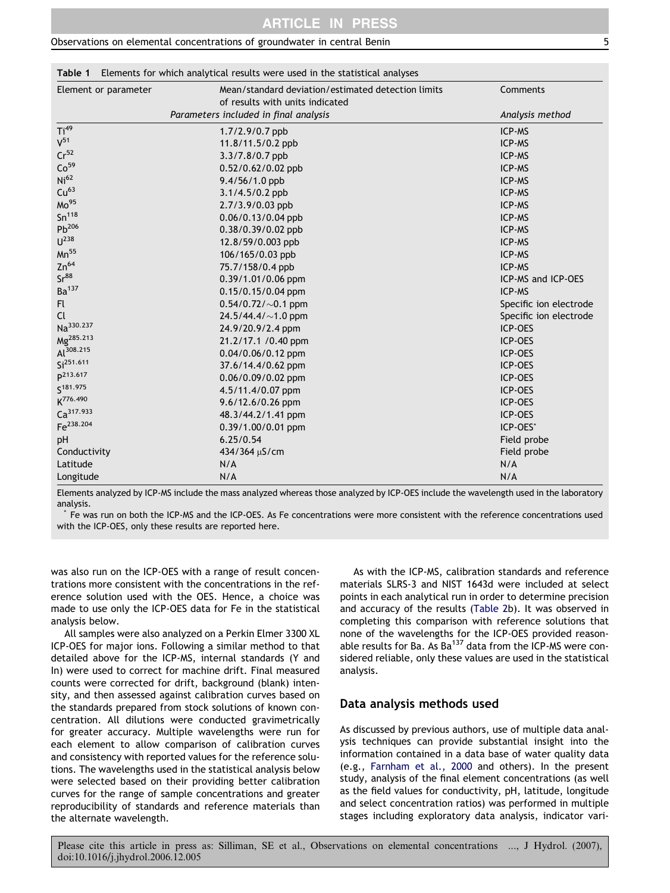<span id="page-4-0"></span>Table 1 Elements for which analytical results were used in the statistical analyses

| Element or parameter  | Mean/standard deviation/estimated detection limits | Comments               |  |
|-----------------------|----------------------------------------------------|------------------------|--|
|                       | of results with units indicated                    |                        |  |
|                       | Parameters included in final analysis              | Analysis method        |  |
| Ti <sup>49</sup>      | $1.7/2.9/0.7$ ppb                                  | ICP-MS                 |  |
| $V^{51}$              | 11.8/11.5/0.2 ppb                                  | ICP-MS                 |  |
| Cr <sup>52</sup>      | 3.3/7.8/0.7 ppb                                    | ICP-MS                 |  |
| Co <sup>59</sup>      | 0.52/0.62/0.02 ppb                                 | ICP-MS                 |  |
| Ni <sup>62</sup>      | 9.4/56/1.0 ppb                                     | ICP-MS                 |  |
| Cu <sup>63</sup>      | 3.1/4.5/0.2 ppb                                    | ICP-MS                 |  |
| Mo <sup>95</sup>      | 2.7/3.9/0.03 ppb                                   | ICP-MS                 |  |
| Sn <sup>118</sup>     | 0.06/0.13/0.04 ppb                                 | ICP-MS                 |  |
| $Pb^{206}$            | 0.38/0.39/0.02 ppb                                 | ICP-MS                 |  |
| $U^{238}$             | 12.8/59/0.003 ppb                                  | ICP-MS                 |  |
| $Mn^{55}$             | 106/165/0.03 ppb                                   | ICP-MS                 |  |
| $Zn^{64}$             | 75.7/158/0.4 ppb                                   | ICP-MS                 |  |
| Sr <sup>88</sup>      | 0.39/1.01/0.06 ppm                                 | ICP-MS and ICP-OES     |  |
| Ba <sup>137</sup>     | 0.15/0.15/0.04 ppm                                 | ICP-MS                 |  |
| Fl.                   | $0.54/0.72/\sim0.1$ ppm                            | Specific ion electrode |  |
| <b>Cl</b>             | 24.5/44.4/ $\sim$ 1.0 ppm                          | Specific ion electrode |  |
| Na <sup>330.237</sup> | 24.9/20.9/2.4 ppm                                  | ICP-OES                |  |
| Mg <sup>285.213</sup> | 21.2/17.1 / 0.40 ppm                               | ICP-OES                |  |
| Al <sup>308.215</sup> | 0.04/0.06/0.12 ppm                                 | ICP-OES                |  |
| Si <sup>251.611</sup> | 37.6/14.4/0.62 ppm                                 | ICP-OES                |  |
| p213.617              | 0.06/0.09/0.02 ppm                                 | ICP-OES                |  |
| S <sup>181.975</sup>  | 4.5/11.4/0.07 ppm                                  | ICP-OES                |  |
| K <sup>776.490</sup>  | 9.6/12.6/0.26 ppm                                  | ICP-OES                |  |
| Ca <sup>317.933</sup> | 48.3/44.2/1.41 ppm                                 | ICP-OES                |  |
| Fe <sup>238.204</sup> | 0.39/1.00/0.01 ppm                                 | ICP-OES*               |  |
| pH                    | 6.25/0.54                                          | Field probe            |  |
| Conductivity          | 434/364 µS/cm                                      | Field probe            |  |
| Latitude              | N/A                                                | N/A                    |  |
| Longitude             | N/A                                                | N/A                    |  |

Elements analyzed by ICP-MS include the mass analyzed whereas those analyzed by ICP-OES include the wavelength used in the laboratory analysis.

\* Fe was run on both the ICP-MS and the ICP-OES. As Fe concentrations were more consistent with the reference concentrations used with the ICP-OES, only these results are reported here.

was also run on the ICP-OES with a range of result concentrations more consistent with the concentrations in the reference solution used with the OES. Hence, a choice was made to use only the ICP-OES data for Fe in the statistical analysis below.

All samples were also analyzed on a Perkin Elmer 3300 XL ICP-OES for major ions. Following a similar method to that detailed above for the ICP-MS, internal standards (Y and In) were used to correct for machine drift. Final measured counts were corrected for drift, background (blank) intensity, and then assessed against calibration curves based on the standards prepared from stock solutions of known concentration. All dilutions were conducted gravimetrically for greater accuracy. Multiple wavelengths were run for each element to allow comparison of calibration curves and consistency with reported values for the reference solutions. The wavelengths used in the statistical analysis below were selected based on their providing better calibration curves for the range of sample concentrations and greater reproducibility of standards and reference materials than the alternate wavelength.

As with the ICP-MS, calibration standards and reference materials SLRS-3 and NIST 1643d were included at select points in each analytical run in order to determine precision and accuracy of the results [\(Table 2b](#page-5-0)). It was observed in completing this comparison with reference solutions that none of the wavelengths for the ICP-OES provided reasonable results for Ba. As  $Ba^{137}$  data from the ICP-MS were considered reliable, only these values are used in the statistical analysis.

# Data analysis methods used

As discussed by previous authors, use of multiple data analysis techniques can provide substantial insight into the information contained in a data base of water quality data (e.g., [Farnham et al., 2000](#page-13-0) and others). In the present study, analysis of the final element concentrations (as well as the field values for conductivity, pH, latitude, longitude and select concentration ratios) was performed in multiple stages including exploratory data analysis, indicator vari-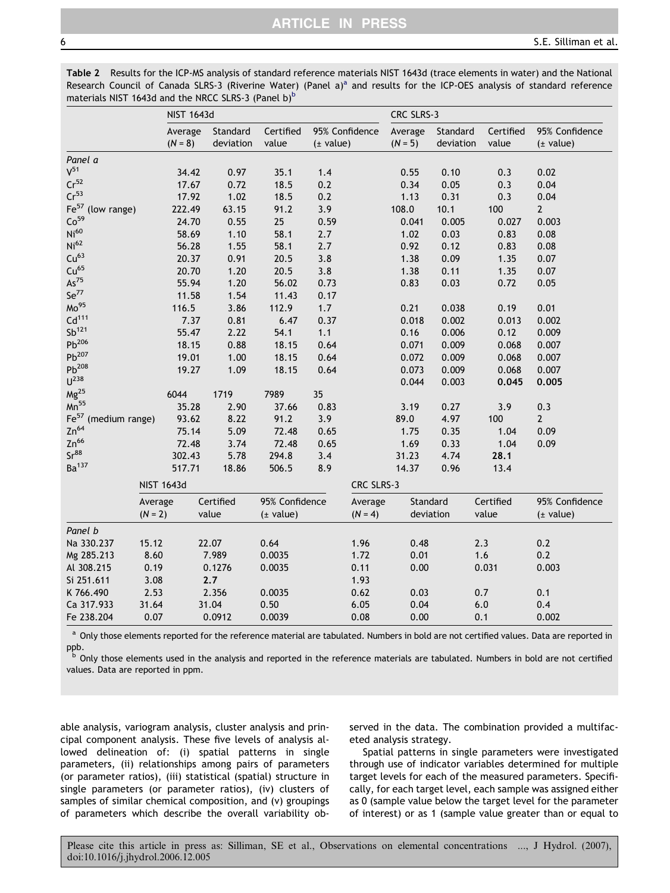<span id="page-5-0"></span>Table 2 Results for the ICP-MS analysis of standard reference materials NIST 1643d (trace elements in water) and the National Rese[a](#page-4-0)rch Council of Canada SLRS-3 (Riverine Water) (Panel a)<sup>a</sup> and results for the ICP-OES analysis of standard reference materials NIST 1643d and the NRCC SLRS-3 (Panel b) $<sup>b</sup>$ </sup>

|                                      |           | <b>NIST 1643d</b>    |                       |                    |                             |            | CRC SLRS-3           |                       |                    |                             |
|--------------------------------------|-----------|----------------------|-----------------------|--------------------|-----------------------------|------------|----------------------|-----------------------|--------------------|-----------------------------|
|                                      |           | Average<br>$(N = 8)$ | Standard<br>deviation | Certified<br>value | 95% Confidence<br>(± value) |            | Average<br>$(N = 5)$ | Standard<br>deviation | Certified<br>value | 95% Confidence<br>(± value) |
| Panel a                              |           |                      |                       |                    |                             |            |                      |                       |                    |                             |
| $V^{51}$                             |           | 34.42                | 0.97                  | 35.1               | 1.4                         |            | 0.55                 | 0.10                  | 0.3                | 0.02                        |
| $Cr^{52}$                            |           | 17.67                | 0.72                  | 18.5               | 0.2                         |            | 0.34                 | 0.05                  | 0.3                | 0.04                        |
| Cr <sup>53</sup>                     |           | 17.92                | 1.02                  | 18.5               | 0.2                         |            | 1.13                 | 0.31                  | 0.3                | 0.04                        |
| Fe <sup>57</sup><br>(low range)      |           | 222.49               | 63.15                 | 91.2               | 3.9                         |            | 108.0                | 10.1                  | 100                | $\overline{2}$              |
| Co <sup>59</sup>                     |           | 24.70                | 0.55                  | 25                 | 0.59                        |            | 0.041                | 0.005                 | 0.027              | 0.003                       |
| Ni <sup>60</sup>                     |           | 58.69                | 1.10                  | 58.1               | 2.7                         |            | 1.02                 | 0.03                  | 0.83               | 0.08                        |
| Ni <sup>62</sup>                     |           | 56.28                | 1.55                  | 58.1               | 2.7                         |            | 0.92                 | 0.12                  | 0.83               | 0.08                        |
| Cu <sup>63</sup>                     |           | 20.37                | 0.91                  | 20.5               | 3.8                         |            | 1.38                 | 0.09                  | 1.35               | 0.07                        |
| Cu <sup>65</sup>                     |           | 20.70                | 1.20                  | 20.5               | 3.8                         |            | 1.38                 | 0.11                  | 1.35               | 0.07                        |
| $\mathsf{As}^{75}$                   |           | 55.94                | 1.20                  | 56.02              | 0.73                        |            | 0.83                 | 0.03                  | 0.72               | 0.05                        |
| $Se^{77}$                            |           | 11.58                | 1.54                  | 11.43              | 0.17                        |            |                      |                       |                    |                             |
| Mo <sup>95</sup>                     |           | 116.5                | 3.86                  | 112.9              | 1.7                         |            | 0.21                 | 0.038                 | 0.19               | 0.01                        |
| Cd <sup>111</sup>                    |           | 7.37                 | 0.81                  | 6.47               | 0.37                        |            | 0.018                | 0.002                 | 0.013              | 0.002                       |
| $Sb^{121}$                           |           | 55.47                | 2.22                  | 54.1               | 1.1                         |            | 0.16                 | 0.006                 | 0.12               | 0.009                       |
| $Pb^{206}$                           |           | 18.15                | 0.88                  | 18.15              | 0.64                        |            | 0.071                | 0.009                 | 0.068              | 0.007                       |
| $Pb^{207}$                           |           | 19.01                | 1.00                  | 18.15              | 0.64                        |            | 0.072                | 0.009                 | 0.068              | 0.007                       |
| $Pb^{208}$                           |           | 19.27                | 1.09                  | 18.15              | 0.64                        |            | 0.073                | 0.009                 | 0.068              | 0.007                       |
| $U^{238}$                            |           |                      |                       |                    |                             |            | 0.044                | 0.003                 | 0.045              | 0.005                       |
| $Mg^{25}$                            |           | 6044                 | 1719                  | 7989               | 35                          |            |                      |                       |                    |                             |
| $Mn^{55}$                            |           | 35.28                | 2.90                  | 37.66              | 0.83                        |            | 3.19                 | 0.27                  | 3.9                | 0.3                         |
| $\mathsf{Fe}^{57}$<br>(medium range) |           | 93.62                | 8.22                  | 91.2               | 3.9                         |            | 89.0                 | 4.97                  | 100                | $\mathbf{2}$                |
| $Zn^{64}$                            |           | 75.14                | 5.09                  | 72.48              | 0.65                        |            | 1.75                 | 0.35                  | 1.04               | 0.09                        |
| $Zn^{66}$                            |           | 72.48                | 3.74                  | 72.48              | 0.65                        |            | 1.69                 | 0.33                  | 1.04               | 0.09                        |
| Sr <sup>88</sup>                     |           | 302.43               | 5.78                  | 294.8              | 3.4                         |            | 31.23                | 4.74                  | 28.1               |                             |
| Ba <sup>137</sup>                    |           | 517.71               | 18.86                 | 506.5              | 8.9                         |            | 14.37                | 0.96                  | 13.4               |                             |
|                                      |           | <b>NIST 1643d</b>    |                       |                    |                             | CRC SLRS-3 |                      |                       |                    |                             |
|                                      | Average   |                      | Certified             | 95% Confidence     |                             | Average    | Standard             |                       | Certified          | 95% Confidence              |
|                                      | $(N = 2)$ |                      | value                 | (± value)          |                             | $(N = 4)$  | deviation            |                       | value              | $(\pm$ value)               |
| Panel b                              |           |                      |                       |                    |                             |            |                      |                       |                    |                             |
| Na 330.237                           | 15.12     |                      | 22.07                 | 0.64               |                             | 1.96       | 0.48                 |                       | 2.3                | 0.2                         |
| Mg 285.213                           | 8.60      |                      | 7.989                 | 0.0035             |                             | 1.72       | 0.01                 |                       | 1.6                | 0.2                         |
| Al 308.215                           | 0.19      |                      | 0.1276                | 0.0035             |                             | 0.11       | 0.00                 |                       | 0.031              | 0.003                       |
| Si 251.611                           | 3.08      |                      | 2.7                   |                    |                             | 1.93       |                      |                       |                    |                             |
| K 766.490                            | 2.53      |                      | 2.356                 | 0.0035             |                             | 0.62       | 0.03                 |                       | 0.7                | 0.1                         |
| Ca 317.933                           | 31.64     |                      | 31.04                 | 0.50               |                             | 6.05       | 0.04                 |                       | 6.0                | 0.4                         |
| Fe 238.204                           | 0.07      |                      | 0.0912                | 0.0039             |                             | 0.08       | 0.00                 |                       | 0.1                | 0.002                       |

<sup>a</sup> Only those elements reported for the reference material are tabulated. Numbers in bold are not certified values. Data are reported in ppb.

<sup>b</sup> Only those elements used in the analysis and reported in the reference materials are tabulated. Numbers in bold are not certified values. Data are reported in ppm.

able analysis, variogram analysis, cluster analysis and principal component analysis. These five levels of analysis allowed delineation of: (i) spatial patterns in single parameters, (ii) relationships among pairs of parameters (or parameter ratios), (iii) statistical (spatial) structure in single parameters (or parameter ratios), (iv) clusters of samples of similar chemical composition, and (v) groupings of parameters which describe the overall variability observed in the data. The combination provided a multifaceted analysis strategy.

Spatial patterns in single parameters were investigated through use of indicator variables determined for multiple target levels for each of the measured parameters. Specifically, for each target level, each sample was assigned either as 0 (sample value below the target level for the parameter of interest) or as 1 (sample value greater than or equal to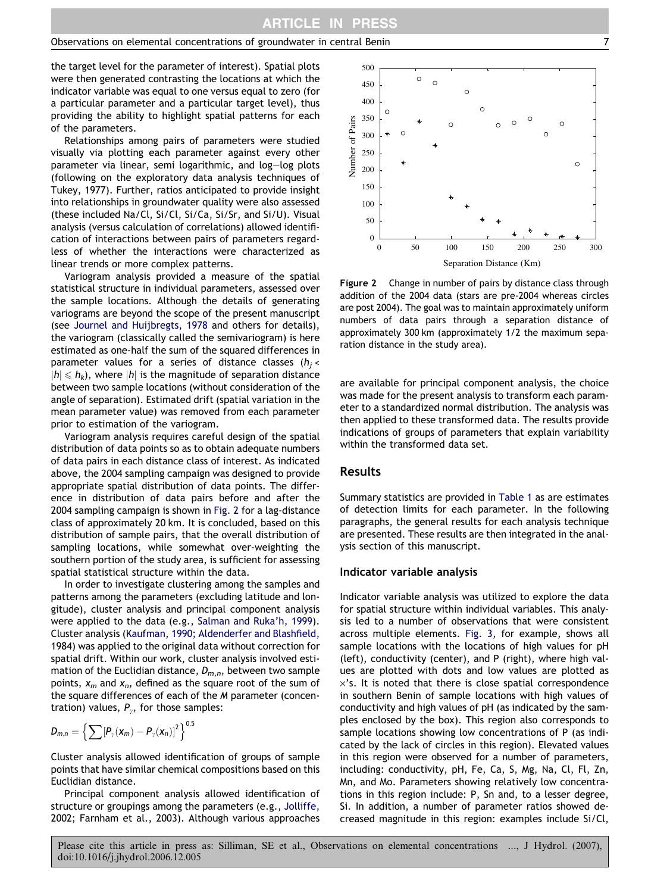the target level for the parameter of interest). Spatial plots were then generated contrasting the locations at which the indicator variable was equal to one versus equal to zero (for a particular parameter and a particular target level), thus providing the ability to highlight spatial patterns for each of the parameters.

Relationships among pairs of parameters were studied visually via plotting each parameter against every other parameter via linear, semi logarithmic, and log–log plots (following on the exploratory data analysis techniques of [Tukey, 1977](#page-14-0)). Further, ratios anticipated to provide insight into relationships in groundwater quality were also assessed (these included Na/Cl, Si/Cl, Si/Ca, Si/Sr, and Si/U). Visual analysis (versus calculation of correlations) allowed identification of interactions between pairs of parameters regardless of whether the interactions were characterized as linear trends or more complex patterns.

Variogram analysis provided a measure of the spatial statistical structure in individual parameters, assessed over the sample locations. Although the details of generating variograms are beyond the scope of the present manuscript (see [Journel and Huijbregts, 1978](#page-13-0) and others for details), the variogram (classically called the semivariogram) is here estimated as one-half the sum of the squared differences in parameter values for a series of distance classes ( $h_i$  <  $|h| \leq h_k$ ), where |h| is the magnitude of separation distance between two sample locations (without consideration of the angle of separation). Estimated drift (spatial variation in the mean parameter value) was removed from each parameter prior to estimation of the variogram.

Variogram analysis requires careful design of the spatial distribution of data points so as to obtain adequate numbers of data pairs in each distance class of interest. As indicated above, the 2004 sampling campaign was designed to provide appropriate spatial distribution of data points. The difference in distribution of data pairs before and after the 2004 sampling campaign is shown in Fig. 2 for a lag-distance class of approximately 20 km. It is concluded, based on this distribution of sample pairs, that the overall distribution of sampling locations, while somewhat over-weighting the southern portion of the study area, is sufficient for assessing spatial statistical structure within the data.

In order to investigate clustering among the samples and patterns among the parameters (excluding latitude and longitude), cluster analysis and principal component analysis were applied to the data (e.g., [Salman and Ruka'h, 1999\)](#page-14-0). Cluster analysis [\(Kaufman, 1990; Aldenderfer and Blashfield,](#page-13-0) [1984](#page-13-0)) was applied to the original data without correction for spatial drift. Within our work, cluster analysis involved estimation of the Euclidian distance,  $D_{m,n}$ , between two sample points,  $x_m$  and  $x_n$ , defined as the square root of the sum of the square differences of each of the M parameter (concentration) values,  $P_{\gamma}$ , for those samples:

$$
D_{m,n} = \left\{ \sum \left[ P_{\gamma}(\boldsymbol{x}_m) - P_{\gamma}(\boldsymbol{x}_n) \right]^2 \right\}^{0.5}
$$

Cluster analysis allowed identification of groups of sample points that have similar chemical compositions based on this Euclidian distance.

Principal component analysis allowed identification of structure or groupings among the parameters (e.g., [Jolliffe,](#page-13-0) [2002; Farnham et al., 2003\)](#page-13-0). Although various approaches



Figure 2 Change in number of pairs by distance class through addition of the 2004 data (stars are pre-2004 whereas circles are post 2004). The goal was to maintain approximately uniform numbers of data pairs through a separation distance of approximately 300 km (approximately 1/2 the maximum separation distance in the study area).

are available for principal component analysis, the choice was made for the present analysis to transform each parameter to a standardized normal distribution. The analysis was then applied to these transformed data. The results provide indications of groups of parameters that explain variability within the transformed data set.

# Results

Summary statistics are provided in [Table 1](#page-4-0) as are estimates of detection limits for each parameter. In the following paragraphs, the general results for each analysis technique are presented. These results are then integrated in the analysis section of this manuscript.

#### Indicator variable analysis

Indicator variable analysis was utilized to explore the data for spatial structure within individual variables. This analysis led to a number of observations that were consistent across multiple elements. [Fig. 3](#page-7-0), for example, shows all sample locations with the locations of high values for pH (left), conductivity (center), and P (right), where high values are plotted with dots and low values are plotted as  $\times$ 's. It is noted that there is close spatial correspondence in southern Benin of sample locations with high values of conductivity and high values of pH (as indicated by the samples enclosed by the box). This region also corresponds to sample locations showing low concentrations of P (as indicated by the lack of circles in this region). Elevated values in this region were observed for a number of parameters, including: conductivity, pH, Fe, Ca, S, Mg, Na, Cl, Fl, Zn, Mn, and Mo. Parameters showing relatively low concentrations in this region include: P, Sn and, to a lesser degree, Si. In addition, a number of parameter ratios showed decreased magnitude in this region: examples include Si/Cl,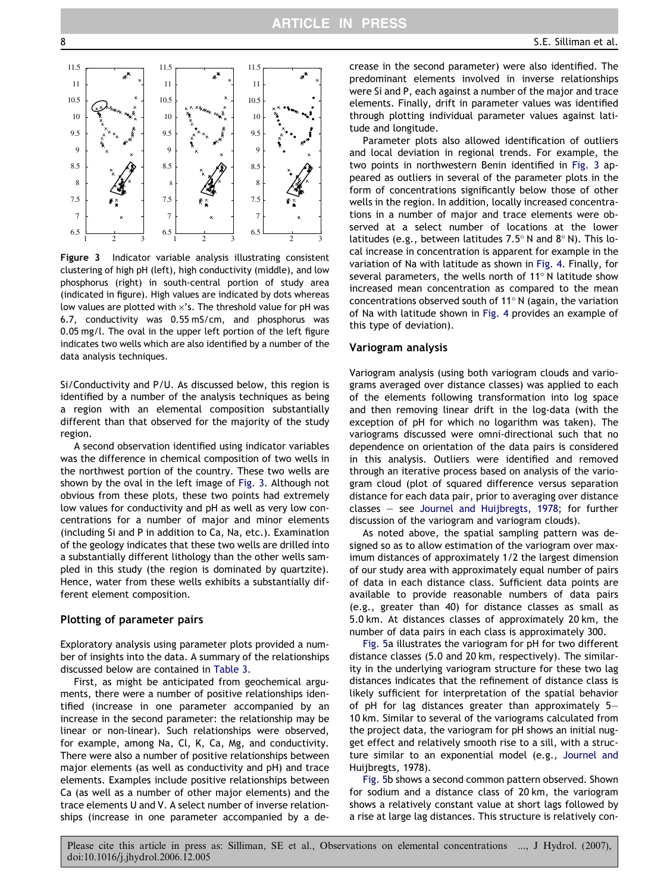<span id="page-7-0"></span>

Figure 3 Indicator variable analysis illustrating consistent clustering of high pH (left), high conductivity (middle), and low phosphorus (right) in south-central portion of study area (indicated in figure). High values are indicated by dots whereas low values are plotted with  $\times$ 's. The threshold value for pH was 6.7, conductivity was 0.55 mS/cm, and phosphorus was 0.05 mg/l. The oval in the upper left portion of the left figure indicates two wells which are also identified by a number of the data analysis techniques.

Si/Conductivity and P/U. As discussed below, this region is identified by a number of the analysis techniques as being a region with an elemental composition substantially different than that observed for the majority of the study region.

A second observation identified using indicator variables was the difference in chemical composition of two wells in the northwest portion of the country. These two wells are shown by the oval in the left image of Fig. 3. Although not obvious from these plots, these two points had extremely low values for conductivity and pH as well as very low concentrations for a number of major and minor elements (including Si and P in addition to Ca, Na, etc.). Examination of the geology indicates that these two wells are drilled into a substantially different lithology than the other wells sampled in this study (the region is dominated by quartzite). Hence, water from these wells exhibits a substantially different element composition.

#### Plotting of parameter pairs

Exploratory analysis using parameter plots provided a number of insights into the data. A summary of the relationships discussed below are contained in [Table 3](#page-8-0).

First, as might be anticipated from geochemical arguments, there were a number of positive relationships identified (increase in one parameter accompanied by an increase in the second parameter: the relationship may be linear or non-linear). Such relationships were observed, for example, among Na, Cl, K, Ca, Mg, and conductivity. There were also a number of positive relationships between major elements (as well as conductivity and pH) and trace elements. Examples include positive relationships between Ca (as well as a number of other major elements) and the trace elements U and V. A select number of inverse relationships (increase in one parameter accompanied by a decrease in the second parameter) were also identified. The predominant elements involved in inverse relationships were Si and P, each against a number of the major and trace elements. Finally, drift in parameter values was identified through plotting individual parameter values against latitude and longitude.

Parameter plots also allowed identification of outliers and local deviation in regional trends. For example, the two points in northwestern Benin identified in Fig. 3 appeared as outliers in several of the parameter plots in the form of concentrations significantly below those of other wells in the region. In addition, locally increased concentrations in a number of major and trace elements were observed at a select number of locations at the lower latitudes (e.g., between latitudes  $7.5^{\circ}$  N and  $8^{\circ}$  N). This local increase in concentration is apparent for example in the variation of Na with latitude as shown in [Fig. 4.](#page-8-0) Finally, for several parameters, the wells north of 11 $^{\circ}$  N latitude show increased mean concentration as compared to the mean concentrations observed south of 11 $^{\circ}$  N (again, the variation of Na with latitude shown in [Fig. 4](#page-8-0) provides an example of this type of deviation).

#### Variogram analysis

Variogram analysis (using both variogram clouds and variograms averaged over distance classes) was applied to each of the elements following transformation into log space and then removing linear drift in the log-data (with the exception of pH for which no logarithm was taken). The variograms discussed were omni-directional such that no dependence on orientation of the data pairs is considered in this analysis. Outliers were identified and removed through an iterative process based on analysis of the variogram cloud (plot of squared difference versus separation distance for each data pair, prior to averaging over distance classes – see [Journel and Huijbregts, 1978](#page-13-0); for further discussion of the variogram and variogram clouds).

As noted above, the spatial sampling pattern was designed so as to allow estimation of the variogram over maximum distances of approximately 1/2 the largest dimension of our study area with approximately equal number of pairs of data in each distance class. Sufficient data points are available to provide reasonable numbers of data pairs (e.g., greater than 40) for distance classes as small as 5.0 km. At distances classes of approximately 20 km, the number of data pairs in each class is approximately 300.

[Fig. 5](#page-9-0)a illustrates the variogram for pH for two different distance classes (5.0 and 20 km, respectively). The similarity in the underlying variogram structure for these two lag distances indicates that the refinement of distance class is likely sufficient for interpretation of the spatial behavior of pH for lag distances greater than approximately 5– 10 km. Similar to several of the variograms calculated from the project data, the variogram for pH shows an initial nugget effect and relatively smooth rise to a sill, with a structure similar to an exponential model (e.g., [Journel and](#page-13-0) [Huijbregts, 1978](#page-13-0)).

[Fig. 5b](#page-9-0) shows a second common pattern observed. Shown for sodium and a distance class of 20 km, the variogram shows a relatively constant value at short lags followed by a rise at large lag distances. This structure is relatively con-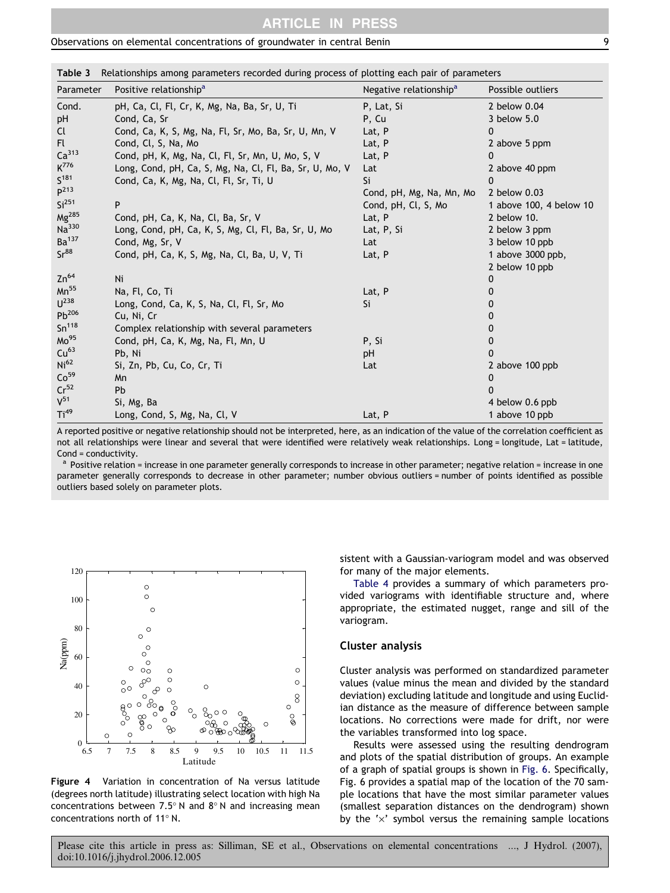# ARTICLE IN PRESS

<span id="page-8-0"></span>Observations on elemental concentrations of groundwater in central Benin 9

| Parameter         | Positive relationship <sup>a</sup>                      | Negative relationship <sup>a</sup> | Possible outliers       |
|-------------------|---------------------------------------------------------|------------------------------------|-------------------------|
| Cond.             | pH, Ca, Cl, Fl, Cr, K, Mg, Na, Ba, Sr, U, Ti            | P, Lat, Si                         | 2 below 0.04            |
| pH                | Cond, Ca, Sr                                            | P, Cu                              | 3 below 5.0             |
| Cl                | Cond, Ca, K, S, Mg, Na, Fl, Sr, Mo, Ba, Sr, U, Mn, V    | Lat, P                             | 0                       |
| Fl.               | Cond, Cl, S, Na, Mo                                     | Lat, P                             | 2 above 5 ppm           |
| Ca <sup>313</sup> | Cond, pH, K, Mg, Na, Cl, Fl, Sr, Mn, U, Mo, S, V        | Lat, P                             |                         |
| K <sup>776</sup>  | Long, Cond, pH, Ca, S, Mg, Na, Cl, Fl, Ba, Sr, U, Mo, V | Lat                                | 2 above 40 ppm          |
| S <sup>181</sup>  | Cond, Ca, K, Mg, Na, Cl, Fl, Sr, Ti, U                  | Si                                 | 0                       |
| P <sup>213</sup>  |                                                         | Cond, pH, Mg, Na, Mn, Mo           | 2 below 0.03            |
| Si <sup>251</sup> | P                                                       | Cond, pH, Cl, S, Mo                | 1 above 100, 4 below 10 |
| $Mg^{285}$        | Cond, pH, Ca, K, Na, Cl, Ba, Sr, V                      | Lat, P                             | 2 below 10.             |
| Na <sup>330</sup> | Long, Cond, pH, Ca, K, S, Mg, Cl, Fl, Ba, Sr, U, Mo     | Lat, P, Si                         | 2 below 3 ppm           |
| Ba <sup>137</sup> | Cond, Mg, Sr, V                                         | Lat                                | 3 below 10 ppb          |
| Sr <sup>88</sup>  | Cond, pH, Ca, K, S, Mg, Na, Cl, Ba, U, V, Ti            | Lat, P                             | 1 above 3000 ppb,       |
|                   |                                                         |                                    | 2 below 10 ppb          |
| $Zn^{64}$         | Ni                                                      |                                    | 0                       |
| $Mn^{55}$         | Na, Fl, Co, Ti                                          | Lat, P                             |                         |
| $U^{238}$         | Long, Cond, Ca, K, S, Na, Cl, Fl, Sr, Mo                | Si                                 |                         |
| $Pb^{206}$        | Cu, Ni, Cr                                              |                                    |                         |
| Sn <sup>118</sup> | Complex relationship with several parameters            |                                    |                         |
| Mo <sup>95</sup>  | Cond, pH, Ca, K, Mg, Na, Fl, Mn, U                      | P, Si                              |                         |
| Cu <sup>63</sup>  | Pb, Ni                                                  | pH                                 |                         |
| Ni <sup>62</sup>  | Si, Zn, Pb, Cu, Co, Cr, Ti                              | Lat                                | 2 above 100 ppb         |
| Co <sup>59</sup>  | Mn                                                      |                                    | 0                       |
| $Cr^{52}$         | Pb                                                      |                                    | <sup>n</sup>            |
| $V^{51}$          | Si, Mg, Ba                                              |                                    | 4 below 0.6 ppb         |
| Ti <sup>49</sup>  | Long, Cond, S, Mg, Na, Cl, V                            | Lat, P                             | 1 above 10 ppb          |

Table 3 Relationships among parameters recorded during process of plotting each pair of parameters

A reported positive or negative relationship should not be interpreted, here, as an indication of the value of the correlation coefficient as not all relationships were linear and several that were identified were relatively weak relationships. Long = longitude, Lat = latitude, Cond = conductivity.

Positive relation = increase in one parameter generally corresponds to increase in other parameter; negative relation = increase in one parameter generally corresponds to decrease in other parameter; number obvious outliers = number of points identified as possible outliers based solely on parameter plots.



Figure 4 Variation in concentration of Na versus latitude (degrees north latitude) illustrating select location with high Na concentrations between 7.5 $^{\circ}$  N and 8 $^{\circ}$  N and increasing mean concentrations north of 11 $^{\circ}$  N.

sistent with a Gaussian-variogram model and was observed for many of the major elements.

[Table 4](#page-10-0) provides a summary of which parameters provided variograms with identifiable structure and, where appropriate, the estimated nugget, range and sill of the variogram.

# Cluster analysis

Cluster analysis was performed on standardized parameter values (value minus the mean and divided by the standard deviation) excluding latitude and longitude and using Euclidian distance as the measure of difference between sample locations. No corrections were made for drift, nor were the variables transformed into log space.

Results were assessed using the resulting dendrogram and plots of the spatial distribution of groups. An example of a graph of spatial groups is shown in [Fig. 6.](#page-11-0) Specifically, [Fig. 6](#page-11-0) provides a spatial map of the location of the 70 sample locations that have the most similar parameter values (smallest separation distances on the dendrogram) shown by the  $' \times'$  symbol versus the remaining sample locations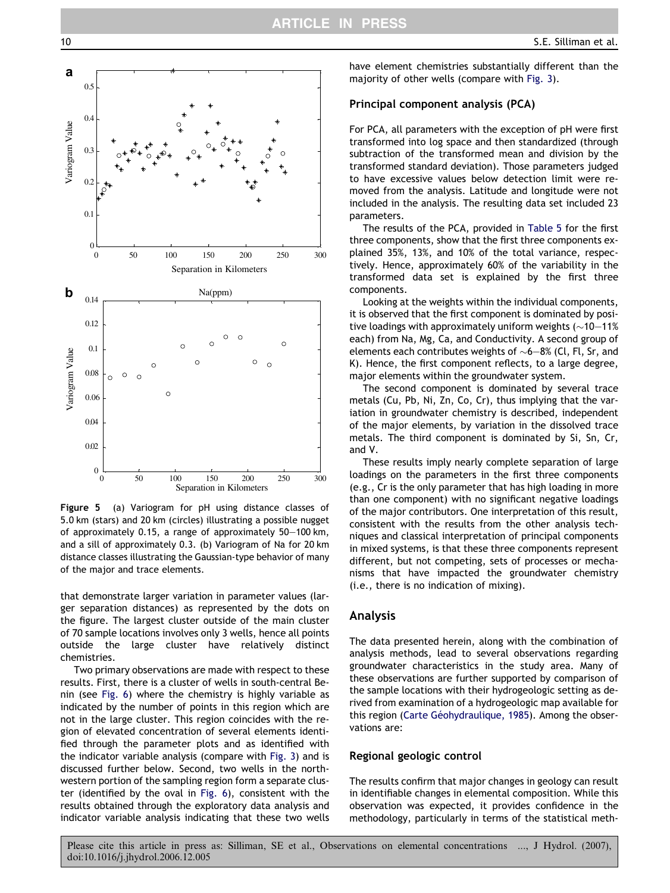

Figure 5 (a) Variogram for pH using distance classes of 5.0 km (stars) and 20 km (circles) illustrating a possible nugget of approximately 0.15, a range of approximately 50–100 km, and a sill of approximately 0.3. (b) Variogram of Na for 20 km distance classes illustrating the Gaussian-type behavior of many of the major and trace elements.

that demonstrate larger variation in parameter values (larger separation distances) as represented by the dots on the figure. The largest cluster outside of the main cluster of 70 sample locations involves only 3 wells, hence all points outside the large cluster have relatively distinct chemistries.

Two primary observations are made with respect to these results. First, there is a cluster of wells in south-central Benin (see [Fig. 6](#page-11-0)) where the chemistry is highly variable as indicated by the number of points in this region which are not in the large cluster. This region coincides with the region of elevated concentration of several elements identified through the parameter plots and as identified with the indicator variable analysis (compare with [Fig. 3\)](#page-7-0) and is discussed further below. Second, two wells in the northwestern portion of the sampling region form a separate cluster (identified by the oval in [Fig. 6](#page-11-0)), consistent with the results obtained through the exploratory data analysis and indicator variable analysis indicating that these two wells have element chemistries substantially different than the majority of other wells (compare with [Fig. 3](#page-7-0)).

#### Principal component analysis (PCA)

For PCA, all parameters with the exception of pH were first transformed into log space and then standardized (through subtraction of the transformed mean and division by the transformed standard deviation). Those parameters judged to have excessive values below detection limit were removed from the analysis. Latitude and longitude were not included in the analysis. The resulting data set included 23 parameters.

The results of the PCA, provided in [Table 5](#page-12-0) for the first three components, show that the first three components explained 35%, 13%, and 10% of the total variance, respectively. Hence, approximately 60% of the variability in the transformed data set is explained by the first three components.

Looking at the weights within the individual components, it is observed that the first component is dominated by positive loadings with approximately uniform weights ( $\sim$ 10 $-$ 11% each) from Na, Mg, Ca, and Conductivity. A second group of elements each contributes weights of  $\sim$ 6 $-$ 8% (Cl, Fl, Sr, and K). Hence, the first component reflects, to a large degree, major elements within the groundwater system.

The second component is dominated by several trace metals (Cu, Pb, Ni, Zn, Co, Cr), thus implying that the variation in groundwater chemistry is described, independent of the major elements, by variation in the dissolved trace metals. The third component is dominated by Si, Sn, Cr, and V.

These results imply nearly complete separation of large loadings on the parameters in the first three components (e.g., Cr is the only parameter that has high loading in more than one component) with no significant negative loadings of the major contributors. One interpretation of this result, consistent with the results from the other analysis techniques and classical interpretation of principal components in mixed systems, is that these three components represent different, but not competing, sets of processes or mechanisms that have impacted the groundwater chemistry (i.e., there is no indication of mixing).

#### Analysis

The data presented herein, along with the combination of analysis methods, lead to several observations regarding groundwater characteristics in the study area. Many of these observations are further supported by comparison of the sample locations with their hydrogeologic setting as derived from examination of a hydrogeologic map available for this region (Carte Géohydraulique, 1985). Among the observations are:

#### Regional geologic control

The results confirm that major changes in geology can result in identifiable changes in elemental composition. While this observation was expected, it provides confidence in the methodology, particularly in terms of the statistical meth-

<span id="page-9-0"></span>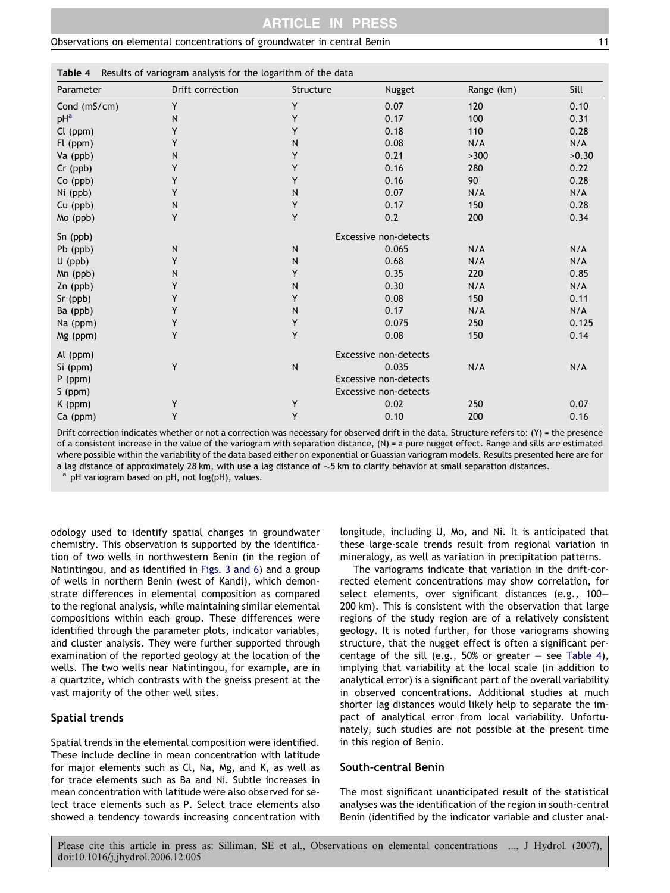<span id="page-10-0"></span>

| Table 4 Results of variogram analysis for the logarithm of the data |  |  |  |  |  |  |
|---------------------------------------------------------------------|--|--|--|--|--|--|
|---------------------------------------------------------------------|--|--|--|--|--|--|

| Parameter       | Drift correction | Structure                    | Nugget | Range (km) | Sill  |  |  |
|-----------------|------------------|------------------------------|--------|------------|-------|--|--|
| Cond (mS/cm)    | Y                | Y                            | 0.07   | 120        | 0.10  |  |  |
| pH <sup>a</sup> | N                | Y                            | 0.17   | 100        | 0.31  |  |  |
| Cl (ppm)        | Y                | Y                            | 0.18   | 110        | 0.28  |  |  |
| Fl (ppm)        | Υ                | N                            | 0.08   | N/A        | N/A   |  |  |
| Va (ppb)        | N                | Υ                            | 0.21   | >300       | >0.30 |  |  |
| Cr (ppb)        | Y                | Y                            | 0.16   | 280        | 0.22  |  |  |
| Co (ppb)        | Y                | Y                            | 0.16   | 90         | 0.28  |  |  |
| Ni (ppb)        | Y                | N                            | 0.07   | N/A        | N/A   |  |  |
| Cu (ppb)        | N                | Υ                            | 0.17   | 150        | 0.28  |  |  |
| Mo (ppb)        | Y                | Y                            | 0.2    | 200        | 0.34  |  |  |
| Sn (ppb)        |                  | Excessive non-detects        |        |            |       |  |  |
| Pb (ppb)        | N                | $\mathsf{N}$                 | 0.065  | N/A        | N/A   |  |  |
| $U$ (ppb)       | Y                | N                            | 0.68   | N/A        | N/A   |  |  |
| Mn (ppb)        | N                | Y                            | 0.35   | 220        | 0.85  |  |  |
| Zn (ppb)        | Y                | N                            | 0.30   | N/A        | N/A   |  |  |
| Sr (ppb)        | Υ                | Y                            | 0.08   | 150        | 0.11  |  |  |
| Ba (ppb)        | Y                | N                            | 0.17   | N/A        | N/A   |  |  |
| Na (ppm)        | Υ                | Υ                            | 0.075  | 250        | 0.125 |  |  |
| Mg (ppm)        | Υ                | Y                            | 0.08   | 150        | 0.14  |  |  |
| Al (ppm)        |                  | <b>Excessive non-detects</b> |        |            |       |  |  |
| Si (ppm)        | Y                | ${\sf N}$                    | 0.035  | N/A        | N/A   |  |  |
| $P$ (ppm)       |                  | <b>Excessive non-detects</b> |        |            |       |  |  |
| S (ppm)         |                  | Excessive non-detects        |        |            |       |  |  |
| K (ppm)         | Υ                | Y                            | 0.02   | 250        | 0.07  |  |  |
| Ca (ppm)        | Y                | Y                            | 0.10   | 200        | 0.16  |  |  |

Drift correction indicates whether or not a correction was necessary for observed drift in the data. Structure refers to:  $(Y)$  = the presence of a consistent increase in the value of the variogram with separation distance, (N) = a pure nugget effect. Range and sills are estimated where possible within the variability of the data based either on exponential or Guassian variogram models. Results presented here are for a lag distance of approximately 28 km, with use a lag distance of  ${\sim}5$  km to clarify behavior at small separation distances.

pH variogram based on pH, not log(pH), values.

odology used to identify spatial changes in groundwater chemistry. This observation is supported by the identification of two wells in northwestern Benin (in the region of Natintingou, and as identified in [Figs. 3 and 6](#page-7-0)) and a group of wells in northern Benin (west of Kandi), which demonstrate differences in elemental composition as compared to the regional analysis, while maintaining similar elemental compositions within each group. These differences were identified through the parameter plots, indicator variables, and cluster analysis. They were further supported through examination of the reported geology at the location of the wells. The two wells near Natintingou, for example, are in a quartzite, which contrasts with the gneiss present at the vast majority of the other well sites.

# Spatial trends

Spatial trends in the elemental composition were identified. These include decline in mean concentration with latitude for major elements such as Cl, Na, Mg, and K, as well as for trace elements such as Ba and Ni. Subtle increases in mean concentration with latitude were also observed for select trace elements such as P. Select trace elements also showed a tendency towards increasing concentration with longitude, including U, Mo, and Ni. It is anticipated that these large-scale trends result from regional variation in mineralogy, as well as variation in precipitation patterns.

The variograms indicate that variation in the drift-corrected element concentrations may show correlation, for select elements, over significant distances (e.g., 100– 200 km). This is consistent with the observation that large regions of the study region are of a relatively consistent geology. It is noted further, for those variograms showing structure, that the nugget effect is often a significant percentage of the sill (e.g., 50% or greater  $-$  see Table 4), implying that variability at the local scale (in addition to analytical error) is a significant part of the overall variability in observed concentrations. Additional studies at much shorter lag distances would likely help to separate the impact of analytical error from local variability. Unfortunately, such studies are not possible at the present time in this region of Benin.

#### South-central Benin

The most significant unanticipated result of the statistical analyses was the identification of the region in south-central Benin (identified by the indicator variable and cluster anal-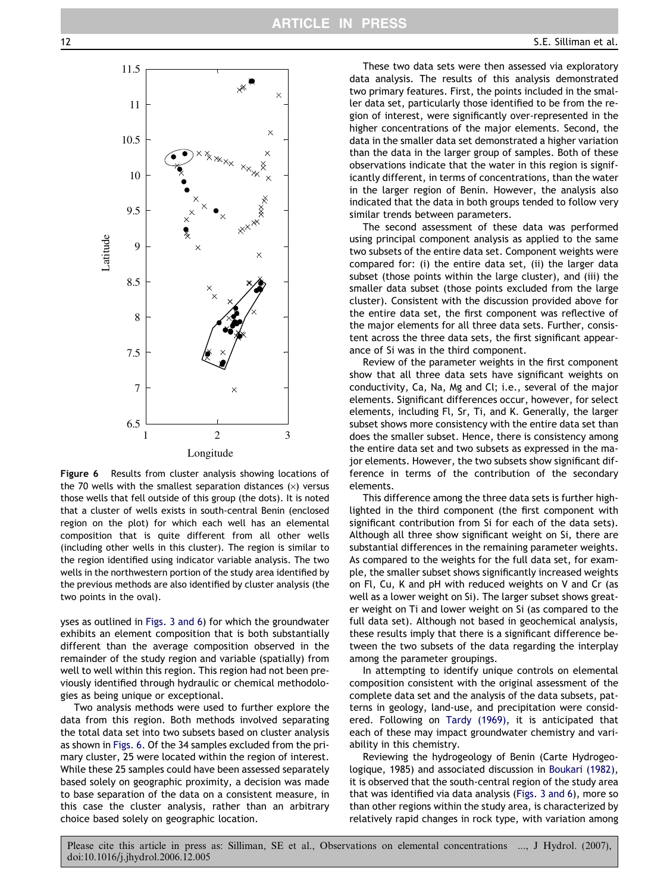<span id="page-11-0"></span>

Figure 6 Results from cluster analysis showing locations of the 70 wells with the smallest separation distances  $(x)$  versus those wells that fell outside of this group (the dots). It is noted that a cluster of wells exists in south-central Benin (enclosed region on the plot) for which each well has an elemental composition that is quite different from all other wells (including other wells in this cluster). The region is similar to the region identified using indicator variable analysis. The two wells in the northwestern portion of the study area identified by the previous methods are also identified by cluster analysis (the two points in the oval).

yses as outlined in [Figs. 3 and 6](#page-7-0)) for which the groundwater exhibits an element composition that is both substantially different than the average composition observed in the remainder of the study region and variable (spatially) from well to well within this region. This region had not been previously identified through hydraulic or chemical methodologies as being unique or exceptional.

Two analysis methods were used to further explore the data from this region. Both methods involved separating the total data set into two subsets based on cluster analysis as shown in Figs. 6. Of the 34 samples excluded from the primary cluster, 25 were located within the region of interest. While these 25 samples could have been assessed separately based solely on geographic proximity, a decision was made to base separation of the data on a consistent measure, in this case the cluster analysis, rather than an arbitrary choice based solely on geographic location.

These two data sets were then assessed via exploratory data analysis. The results of this analysis demonstrated two primary features. First, the points included in the smaller data set, particularly those identified to be from the region of interest, were significantly over-represented in the higher concentrations of the major elements. Second, the data in the smaller data set demonstrated a higher variation than the data in the larger group of samples. Both of these observations indicate that the water in this region is significantly different, in terms of concentrations, than the water in the larger region of Benin. However, the analysis also indicated that the data in both groups tended to follow very similar trends between parameters.

The second assessment of these data was performed using principal component analysis as applied to the same two subsets of the entire data set. Component weights were compared for: (i) the entire data set, (ii) the larger data subset (those points within the large cluster), and (iii) the smaller data subset (those points excluded from the large cluster). Consistent with the discussion provided above for the entire data set, the first component was reflective of the major elements for all three data sets. Further, consistent across the three data sets, the first significant appearance of Si was in the third component.

Review of the parameter weights in the first component show that all three data sets have significant weights on conductivity, Ca, Na, Mg and Cl; i.e., several of the major elements. Significant differences occur, however, for select elements, including Fl, Sr, Ti, and K. Generally, the larger subset shows more consistency with the entire data set than does the smaller subset. Hence, there is consistency among the entire data set and two subsets as expressed in the major elements. However, the two subsets show significant difference in terms of the contribution of the secondary elements.

This difference among the three data sets is further highlighted in the third component (the first component with significant contribution from Si for each of the data sets). Although all three show significant weight on Si, there are substantial differences in the remaining parameter weights. As compared to the weights for the full data set, for example, the smaller subset shows significantly increased weights on Fl, Cu, K and pH with reduced weights on V and Cr (as well as a lower weight on Si). The larger subset shows greater weight on Ti and lower weight on Si (as compared to the full data set). Although not based in geochemical analysis, these results imply that there is a significant difference between the two subsets of the data regarding the interplay among the parameter groupings.

In attempting to identify unique controls on elemental composition consistent with the original assessment of the complete data set and the analysis of the data subsets, patterns in geology, land-use, and precipitation were considered. Following on [Tardy \(1969\)](#page-14-0), it is anticipated that each of these may impact groundwater chemistry and variability in this chemistry.

Reviewing the hydrogeology of Benin (Carte Hydrogeologique, 1985) and associated discussion in [Boukari \(1982\),](#page-13-0) it is observed that the south-central region of the study area that was identified via data analysis [\(Figs. 3 and 6](#page-7-0)), more so than other regions within the study area, is characterized by relatively rapid changes in rock type, with variation among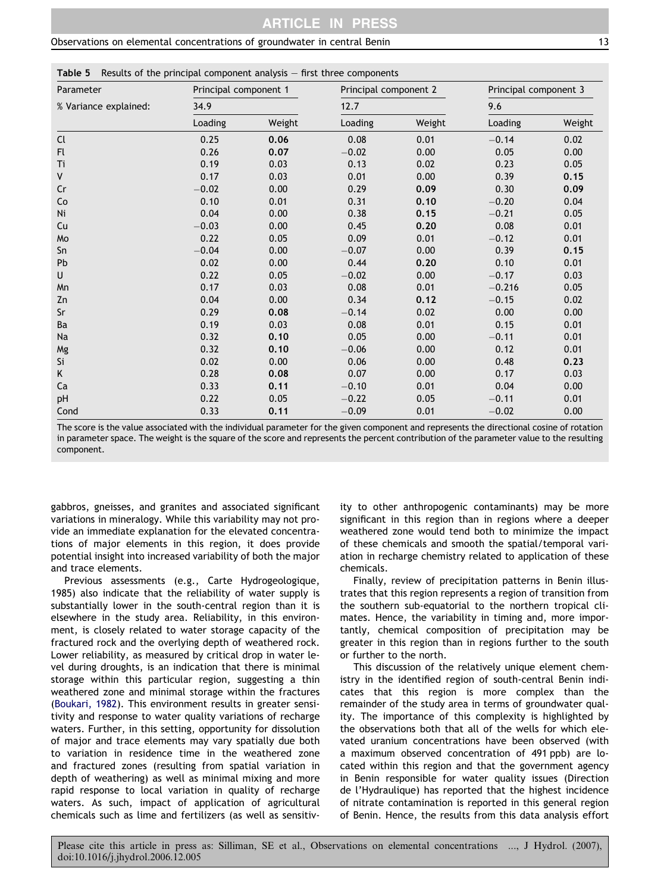<span id="page-12-0"></span>Table 5 Results of the principal component analysis – first three components

| Parameter             | Principal component 1 |        | Principal component 2 |        | Principal component 3 |        |
|-----------------------|-----------------------|--------|-----------------------|--------|-----------------------|--------|
| % Variance explained: | 34.9                  |        | 12.7                  |        | 9.6                   |        |
|                       | Loading               | Weight | Loading               | Weight | Loading               | Weight |
| Cl                    | 0.25                  | 0.06   | 0.08                  | 0.01   | $-0.14$               | 0.02   |
| Fl.                   | 0.26                  | 0.07   | $-0.02$               | 0.00   | 0.05                  | 0.00   |
| Ti                    | 0.19                  | 0.03   | 0.13                  | 0.02   | 0.23                  | 0.05   |
| V                     | 0.17                  | 0.03   | 0.01                  | 0.00   | 0.39                  | 0.15   |
| Cr                    | $-0.02$               | 0.00   | 0.29                  | 0.09   | 0.30                  | 0.09   |
| Co                    | 0.10                  | 0.01   | 0.31                  | 0.10   | $-0.20$               | 0.04   |
| Ni                    | 0.04                  | 0.00   | 0.38                  | 0.15   | $-0.21$               | 0.05   |
| Cu                    | $-0.03$               | 0.00   | 0.45                  | 0.20   | 0.08                  | 0.01   |
| Mo                    | 0.22                  | 0.05   | 0.09                  | 0.01   | $-0.12$               | 0.01   |
| Sn                    | $-0.04$               | 0.00   | $-0.07$               | 0.00   | 0.39                  | 0.15   |
| Pb                    | 0.02                  | 0.00   | 0.44                  | 0.20   | 0.10                  | 0.01   |
| U                     | 0.22                  | 0.05   | $-0.02$               | 0.00   | $-0.17$               | 0.03   |
| Mn                    | 0.17                  | 0.03   | 0.08                  | 0.01   | $-0.216$              | 0.05   |
| Zn                    | 0.04                  | 0.00   | 0.34                  | 0.12   | $-0.15$               | 0.02   |
| Sr                    | 0.29                  | 0.08   | $-0.14$               | 0.02   | 0.00                  | 0.00   |
| Ba                    | 0.19                  | 0.03   | 0.08                  | 0.01   | 0.15                  | 0.01   |
| Na                    | 0.32                  | 0.10   | 0.05                  | 0.00   | $-0.11$               | 0.01   |
| Mg                    | 0.32                  | 0.10   | $-0.06$               | 0.00   | 0.12                  | 0.01   |
| Si                    | 0.02                  | 0.00   | 0.06                  | 0.00   | 0.48                  | 0.23   |
| Κ                     | 0.28                  | 0.08   | 0.07                  | 0.00   | 0.17                  | 0.03   |
| Ca                    | 0.33                  | 0.11   | $-0.10$               | 0.01   | 0.04                  | 0.00   |
| pH                    | 0.22                  | 0.05   | $-0.22$               | 0.05   | $-0.11$               | 0.01   |
| Cond                  | 0.33                  | 0.11   | $-0.09$               | 0.01   | $-0.02$               | 0.00   |

The score is the value associated with the individual parameter for the given component and represents the directional cosine of rotation in parameter space. The weight is the square of the score and represents the percent contribution of the parameter value to the resulting component.

gabbros, gneisses, and granites and associated significant variations in mineralogy. While this variability may not provide an immediate explanation for the elevated concentrations of major elements in this region, it does provide potential insight into increased variability of both the major and trace elements.

Previous assessments (e.g., Carte Hydrogeologique, 1985) also indicate that the reliability of water supply is substantially lower in the south-central region than it is elsewhere in the study area. Reliability, in this environment, is closely related to water storage capacity of the fractured rock and the overlying depth of weathered rock. Lower reliability, as measured by critical drop in water level during droughts, is an indication that there is minimal storage within this particular region, suggesting a thin weathered zone and minimal storage within the fractures ([Boukari, 1982\)](#page-13-0). This environment results in greater sensitivity and response to water quality variations of recharge waters. Further, in this setting, opportunity for dissolution of major and trace elements may vary spatially due both to variation in residence time in the weathered zone and fractured zones (resulting from spatial variation in depth of weathering) as well as minimal mixing and more rapid response to local variation in quality of recharge waters. As such, impact of application of agricultural chemicals such as lime and fertilizers (as well as sensitivity to other anthropogenic contaminants) may be more significant in this region than in regions where a deeper weathered zone would tend both to minimize the impact of these chemicals and smooth the spatial/temporal variation in recharge chemistry related to application of these chemicals.

Finally, review of precipitation patterns in Benin illustrates that this region represents a region of transition from the southern sub-equatorial to the northern tropical climates. Hence, the variability in timing and, more importantly, chemical composition of precipitation may be greater in this region than in regions further to the south or further to the north.

This discussion of the relatively unique element chemistry in the identified region of south-central Benin indicates that this region is more complex than the remainder of the study area in terms of groundwater quality. The importance of this complexity is highlighted by the observations both that all of the wells for which elevated uranium concentrations have been observed (with a maximum observed concentration of 491 ppb) are located within this region and that the government agency in Benin responsible for water quality issues (Direction de l'Hydraulique) has reported that the highest incidence of nitrate contamination is reported in this general region of Benin. Hence, the results from this data analysis effort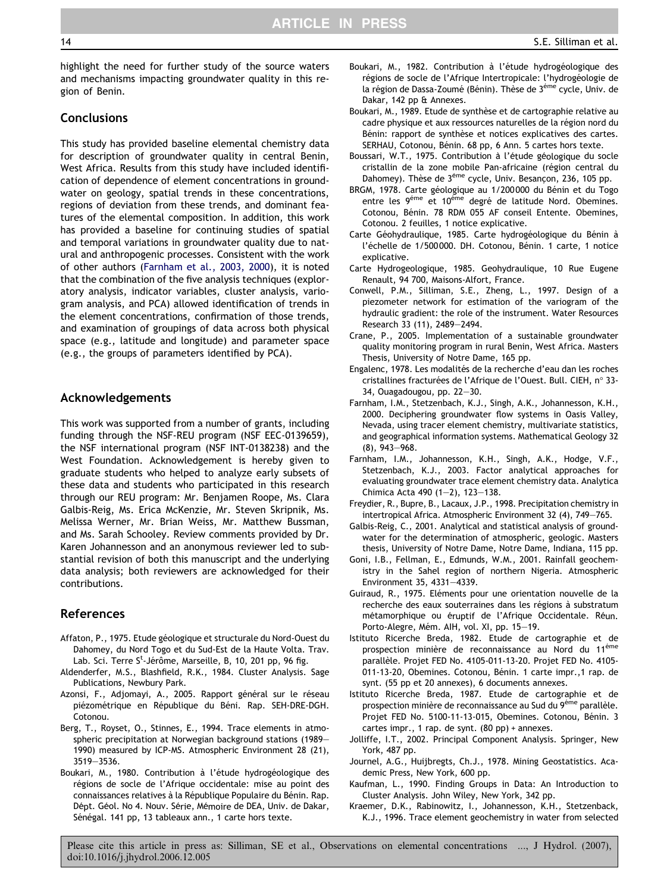<span id="page-13-0"></span>highlight the need for further study of the source waters and mechanisms impacting groundwater quality in this region of Benin.

# **Conclusions**

This study has provided baseline elemental chemistry data for description of groundwater quality in central Benin, West Africa. Results from this study have included identification of dependence of element concentrations in groundwater on geology, spatial trends in these concentrations, regions of deviation from these trends, and dominant features of the elemental composition. In addition, this work has provided a baseline for continuing studies of spatial and temporal variations in groundwater quality due to natural and anthropogenic processes. Consistent with the work of other authors (Farnham et al., 2003, 2000), it is noted that the combination of the five analysis techniques (exploratory analysis, indicator variables, cluster analysis, variogram analysis, and PCA) allowed identification of trends in the element concentrations, confirmation of those trends, and examination of groupings of data across both physical space (e.g., latitude and longitude) and parameter space (e.g., the groups of parameters identified by PCA).

# Acknowledgements

This work was supported from a number of grants, including funding through the NSF-REU program (NSF EEC-0139659), the NSF international program (NSF INT-0138238) and the West Foundation. Acknowledgement is hereby given to graduate students who helped to analyze early subsets of these data and students who participated in this research through our REU program: Mr. Benjamen Roope, Ms. Clara Galbis-Reig, Ms. Erica McKenzie, Mr. Steven Skripnik, Ms. Melissa Werner, Mr. Brian Weiss, Mr. Matthew Bussman, and Ms. Sarah Schooley. Review comments provided by Dr. Karen Johannesson and an anonymous reviewer led to substantial revision of both this manuscript and the underlying data analysis; both reviewers are acknowledged for their contributions.

# References

- Affaton, P., 1975. Etude géologique et structurale du Nord-Ouest du Dahomey, du Nord Togo et du Sud-Est de la Haute Volta. Trav. Lab. Sci. Terre S<sup>t</sup>-Jérôme, Marseille, B, 10, 201 pp, 96 fig.
- Aldenderfer, M.S., Blashfield, R.K., 1984. Cluster Analysis. Sage Publications, Newbury Park.
- Azonsi, F., Adjomayi, A., 2005. Rapport général sur le réseau piézométrique en République du Béni. Rap. SEH-DRE-DGH. Cotonou.
- Berg, T., Royset, O., Stinnes, E., 1994. Trace elements in atmospheric precipitation at Norwegian background stations (1989– 1990) measured by ICP-MS. Atmospheric Environment 28 (21), 3519–3536.
- Boukari, M., 1980. Contribution à l'étude hydrogéologique des régions de socle de l'Afrique occidentale: mise au point des connaissances relatives à la République Populaire du Bénin. Rap. Dépt. Géol. No 4. Nouv. Série, Mémoire de DEA, Univ. de Dakar, Sénégal. 141 pp, 13 tableaux ann., 1 carte hors texte.
- Boukari, M., 1982. Contribution à l'étude hydrogéologique des régions de socle de l'Afrique Intertropicale: l'hydrogéologie de la région de Dassa-Zoumé (Bénin). Thèse de 3<sup>éme</sup> cycle, Univ. de Dakar, 142 pp & Annexes.
- Boukari, M., 1989. Etude de synthèse et de cartographie relative au cadre physique et aux ressources naturelles de la région nord du Bénin: rapport de synthèse et notices explicatives des cartes. SERHAU, Cotonou, Bénin. 68 pp, 6 Ann. 5 cartes hors texte.
- Boussari, W.T., 1975. Contribution à l'étude géologique du socle cristallin de la zone mobile Pan-africaine (région central du Dahomey). Thèse de 3<sup>éme</sup> cycle, Univ. Besancon, 236, 105 pp.
- BRGM, 1978. Carte géologique au 1/200 000 du Bénin et du Togo entre les 9<sup>éme</sup> et 10<sup>éme</sup> degré de latitude Nord. Obemines. Cotonou, Bénin. 78 RDM 055 AF conseil Entente. Obemines, Cotonou. 2 feuilles, 1 notice explicative.
- Carte Géohydraulique, 1985. Carte hydrogéologique du Bénin à l'échelle de 1/500 000. DH. Cotonou, Bénin. 1 carte, 1 notice explicative.
- Carte Hydrogeologique, 1985. Geohydraulique, 10 Rue Eugene Renault, 94 700, Maisons-Alfort, France.
- Conwell, P.M., Silliman, S.E., Zheng, L., 1997. Design of a piezometer network for estimation of the variogram of the hydraulic gradient: the role of the instrument. Water Resources Research 33 (11), 2489–2494.
- Crane, P., 2005. Implementation of a sustainable groundwater quality monitoring program in rural Benin, West Africa. Masters Thesis, University of Notre Dame, 165 pp.
- Engalenc, 1978. Les modalités de la recherche d'eau dan les roches cristallines fracturées de l'Afrique de l'Ouest. Bull. CIEH, n° 33-34, Ouagadougou, pp. 22–30.
- Farnham, I.M., Stetzenbach, K.J., Singh, A.K., Johannesson, K.H., 2000. Deciphering groundwater flow systems in Oasis Valley, Nevada, using tracer element chemistry, multivariate statistics, and geographical information systems. Mathematical Geology 32 (8), 943–968.
- Farnham, I.M., Johannesson, K.H., Singh, A.K., Hodge, V.F., Stetzenbach, K.J., 2003. Factor analytical approaches for evaluating groundwater trace element chemistry data. Analytica Chimica Acta 490 (1–2), 123–138.
- Freydier, R., Bupre, B., Lacaux, J.P., 1998. Precipitation chemistry in intertropical Africa. Atmospheric Environment 32 (4), 749–765.
- Galbis-Reig, C., 2001. Analytical and statistical analysis of groundwater for the determination of atmospheric, geologic. Masters thesis, University of Notre Dame, Notre Dame, Indiana, 115 pp.
- Goni, I.B., Fellman, E., Edmunds, W.M., 2001. Rainfall geochemistry in the Sahel region of northern Nigeria. Atmospheric Environment 35, 4331–4339.
- Guiraud, R., 1975. Eléments pour une orientation nouvelle de la recherche des eaux souterraines dans les régions à substratum métamorphique ou éruptif de l'Afrique Occidentale. Réun. Porto-Alegre, Mém. AIH, vol. XI, pp. 15-19.
- Istituto Ricerche Breda, 1982. Etude de cartographie et de prospection minière de reconnaissance au Nord du 11<sup>éme</sup> parallèle. Projet FED No. 4105-011-13-20. Projet FED No. 4105-011-13-20, Obemines. Cotonou, Bénin. 1 carte impr.,1 rap. de synt. (55 pp et 20 annexes), 6 documents annexes.
- Istituto Ricerche Breda, 1987. Etude de cartographie et de prospection minière de reconnaissance au Sud du 9<sup>éme</sup> parallèle. Projet FED No. 5100-11-13-015, Obemines. Cotonou, Bénin. 3 cartes impr., 1 rap. de synt. (80 pp) + annexes.
- Jolliffe, I.T., 2002. Principal Component Analysis. Springer, New York, 487 pp.
- Journel, A.G., Huijbregts, Ch.J., 1978. Mining Geostatistics. Academic Press, New York, 600 pp.
- Kaufman, L., 1990. Finding Groups in Data: An Introduction to Cluster Analysis. John Wiley, New York, 342 pp.
- Kraemer, D.K., Rabinowitz, I., Johannesson, K.H., Stetzenback, K.J., 1996. Trace element geochemistry in water from selected